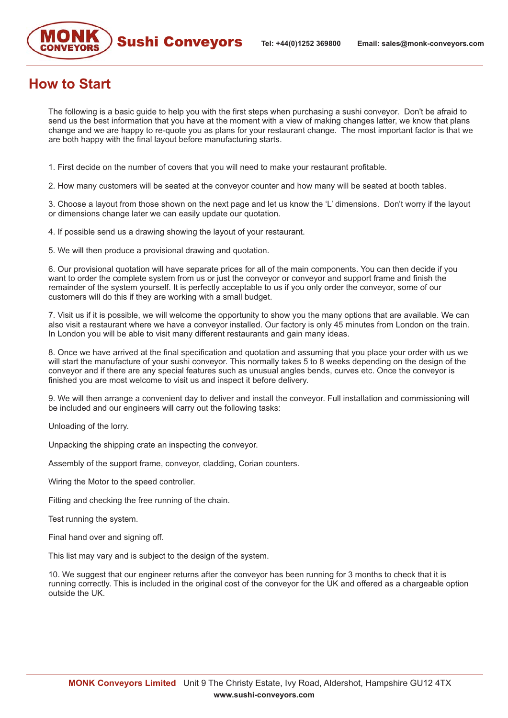

## **How to Start**

The following is a basic guide to help you with the first steps when purchasing a sushi conveyor. Don't be afraid to send us the best information that you have at the moment with a view of making changes latter, we know that plans change and we are happy to re-quote you as plans for your restaurant change. The most important factor is that we are both happy with the final layout before manufacturing starts.

1. First decide on the number of covers that you will need to make your restaurant profitable.

2. How many customers will be seated at the conveyor counter and how many will be seated at booth tables.

3. Choose a layout from those shown on the next page and let us know the 'L' dimensions. Don't worry if the layout or dimensions change later we can easily update our quotation.

4. If possible send us a drawing showing the layout of your restaurant.

5. We will then produce a provisional drawing and quotation.

6. Our provisional quotation will have separate prices for all of the main components. You can then decide if you want to order the complete system from us or just the conveyor or conveyor and support frame and finish the remainder of the system yourself. It is perfectly acceptable to us if you only order the conveyor, some of our customers will do this if they are working with a small budget.

7. Visit us if it is possible, we will welcome the opportunity to show you the many options that are available. We can also visit a restaurant where we have a conveyor installed. Our factory is only 45 minutes from London on the train. In London you will be able to visit many different restaurants and gain many ideas.

8. Once we have arrived at the final specification and quotation and assuming that you place your order with us we will start the manufacture of your sushi conveyor. This normally takes 5 to 8 weeks depending on the design of the conveyor and if there are any special features such as unusual angles bends, curves etc. Once the conveyor is finished you are most welcome to visit us and inspect it before delivery.

9. We will then arrange a convenient day to deliver and install the conveyor. Full installation and commissioning will be included and our engineers will carry out the following tasks:

Unloading of the lorry.

Unpacking the shipping crate an inspecting the conveyor.

Assembly of the support frame, conveyor, cladding, Corian counters.

Wiring the Motor to the speed controller.

Fitting and checking the free running of the chain.

Test running the system.

Final hand over and signing off.

This list may vary and is subject to the design of the system.

10. We suggest that our engineer returns after the conveyor has been running for 3 months to check that it is running correctly. This is included in the original cost of the conveyor for the UK and offered as a chargeable option outside the UK.